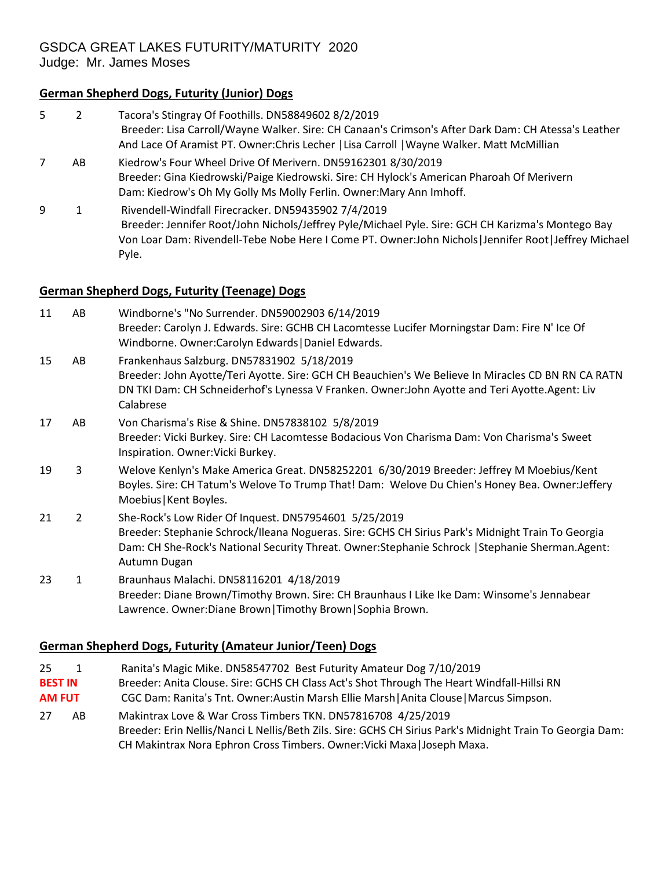# GSDCA GREAT LAKES FUTURITY/MATURITY 2020

Judge: Mr. James Moses

# **German Shepherd Dogs, Futurity (Junior) Dogs**

5 2 Tacora's Stingray Of Foothills. DN58849602 8/2/2019 Breeder: Lisa Carroll/Wayne Walker. Sire: CH Canaan's Crimson's After Dark Dam: CH Atessa's Leather And Lace Of Aramist PT. Owner:Chris Lecher |Lisa Carroll |Wayne Walker. Matt McMillian 7 AB Kiedrow's Four Wheel Drive Of Merivern. DN59162301 8/30/2019 Breeder: Gina Kiedrowski/Paige Kiedrowski. Sire: CH Hylock's American Pharoah Of Merivern Dam: Kiedrow's Oh My Golly Ms Molly Ferlin. Owner:Mary Ann Imhoff. 9 1 Rivendell-Windfall Firecracker. DN59435902 7/4/2019 Breeder: Jennifer Root/John Nichols/Jeffrey Pyle/Michael Pyle. Sire: GCH CH Karizma's Montego Bay Von Loar Dam: Rivendell-Tebe Nobe Here I Come PT. Owner:John Nichols|Jennifer Root|Jeffrey Michael Pyle.

#### **German Shepherd Dogs, Futurity (Teenage) Dogs**

| 11 | AB             | Windborne's "No Surrender. DN59002903 6/14/2019<br>Breeder: Carolyn J. Edwards. Sire: GCHB CH Lacomtesse Lucifer Morningstar Dam: Fire N' Ice Of<br>Windborne. Owner:Carolyn Edwards   Daniel Edwards.                                                                          |
|----|----------------|---------------------------------------------------------------------------------------------------------------------------------------------------------------------------------------------------------------------------------------------------------------------------------|
| 15 | AB             | Frankenhaus Salzburg. DN57831902 5/18/2019<br>Breeder: John Ayotte/Teri Ayotte. Sire: GCH CH Beauchien's We Believe In Miracles CD BN RN CA RATN<br>DN TKI Dam: CH Schneiderhof's Lynessa V Franken. Owner: John Ayotte and Teri Ayotte. Agent: Liv<br>Calabrese                |
| 17 | AB             | Von Charisma's Rise & Shine. DN57838102 5/8/2019<br>Breeder: Vicki Burkey. Sire: CH Lacomtesse Bodacious Von Charisma Dam: Von Charisma's Sweet<br>Inspiration. Owner: Vicki Burkey.                                                                                            |
| 19 | 3              | Welove Kenlyn's Make America Great. DN58252201 6/30/2019 Breeder: Jeffrey M Moebius/Kent<br>Boyles. Sire: CH Tatum's Welove To Trump That! Dam: Welove Du Chien's Honey Bea. Owner:Jeffery<br>Moebius   Kent Boyles.                                                            |
| 21 | $\overline{2}$ | She-Rock's Low Rider Of Inquest. DN57954601 5/25/2019<br>Breeder: Stephanie Schrock/Ileana Nogueras. Sire: GCHS CH Sirius Park's Midnight Train To Georgia<br>Dam: CH She-Rock's National Security Threat. Owner: Stephanie Schrock   Stephanie Sherman. Agent:<br>Autumn Dugan |
| 23 | 1              | Braunhaus Malachi. DN58116201 4/18/2019<br>Breeder: Diane Brown/Timothy Brown. Sire: CH Braunhaus I Like Ike Dam: Winsome's Jennabear<br>Lawrence. Owner: Diane Brown   Timothy Brown   Sophia Brown.                                                                           |

# **German Shepherd Dogs, Futurity (Amateur Junior/Teen) Dogs**

- 25 1 Ranita's Magic Mike. DN58547702 Best Futurity Amateur Dog 7/10/2019
- **BEST IN** Breeder: Anita Clouse. Sire: GCHS CH Class Act's Shot Through The Heart Windfall-Hillsi RN
- **AM FUT** CGC Dam: Ranita's Tnt. Owner:Austin Marsh Ellie Marsh|Anita Clouse|Marcus Simpson.
- 27 AB Makintrax Love & War Cross Timbers TKN. DN57816708 4/25/2019 Breeder: Erin Nellis/Nanci L Nellis/Beth Zils. Sire: GCHS CH Sirius Park's Midnight Train To Georgia Dam: CH Makintrax Nora Ephron Cross Timbers. Owner:Vicki Maxa|Joseph Maxa.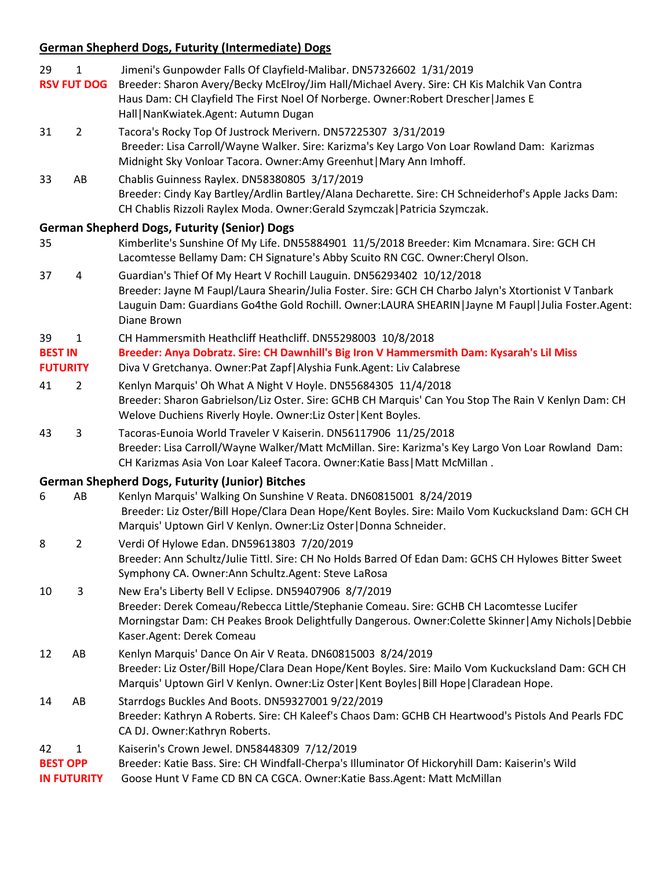# **German Shepherd Dogs, Futurity (Intermediate) Dogs**

| 29                                    | $\mathbf{1}$       | Jimeni's Gunpowder Falls Of Clayfield-Malibar. DN57326602 1/31/2019                                                                                                                                                                                                                                    |
|---------------------------------------|--------------------|--------------------------------------------------------------------------------------------------------------------------------------------------------------------------------------------------------------------------------------------------------------------------------------------------------|
|                                       | <b>RSV FUT DOG</b> | Breeder: Sharon Avery/Becky McElroy/Jim Hall/Michael Avery. Sire: CH Kis Malchik Van Contra<br>Haus Dam: CH Clayfield The First Noel Of Norberge. Owner: Robert Drescher   James E<br>Hall   NanKwiatek.Agent: Autumn Dugan                                                                            |
| 31                                    | $\overline{2}$     | Tacora's Rocky Top Of Justrock Merivern. DN57225307 3/31/2019<br>Breeder: Lisa Carroll/Wayne Walker. Sire: Karizma's Key Largo Von Loar Rowland Dam: Karizmas<br>Midnight Sky Vonloar Tacora. Owner:Amy Greenhut   Mary Ann Imhoff.                                                                    |
| 33                                    | AB                 | Chablis Guinness Raylex. DN58380805 3/17/2019<br>Breeder: Cindy Kay Bartley/Ardlin Bartley/Alana Decharette. Sire: CH Schneiderhof's Apple Jacks Dam:<br>CH Chablis Rizzoli Raylex Moda. Owner:Gerald Szymczak   Patricia Szymczak.                                                                    |
| 35                                    |                    | <b>German Shepherd Dogs, Futurity (Senior) Dogs</b><br>Kimberlite's Sunshine Of My Life. DN55884901 11/5/2018 Breeder: Kim Mcnamara. Sire: GCH CH<br>Lacomtesse Bellamy Dam: CH Signature's Abby Scuito RN CGC. Owner:Cheryl Olson.                                                                    |
| 37                                    | 4                  | Guardian's Thief Of My Heart V Rochill Lauguin. DN56293402 10/12/2018<br>Breeder: Jayne M Faupl/Laura Shearin/Julia Foster. Sire: GCH CH Charbo Jalyn's Xtortionist V Tanbark<br>Lauguin Dam: Guardians Go4the Gold Rochill. Owner:LAURA SHEARIN   Jayne M Faupl   Julia Foster. Agent:<br>Diane Brown |
| 39                                    | 1                  | CH Hammersmith Heathcliff Heathcliff. DN55298003 10/8/2018                                                                                                                                                                                                                                             |
| <b>BEST IN</b>                        |                    | Breeder: Anya Dobratz. Sire: CH Dawnhill's Big Iron V Hammersmith Dam: Kysarah's Lil Miss                                                                                                                                                                                                              |
| <b>FUTURITY</b>                       |                    | Diva V Gretchanya. Owner: Pat Zapf   Alyshia Funk. Agent: Liv Calabrese                                                                                                                                                                                                                                |
| 41                                    | $\overline{2}$     | Kenlyn Marquis' Oh What A Night V Hoyle. DN55684305 11/4/2018<br>Breeder: Sharon Gabrielson/Liz Oster. Sire: GCHB CH Marquis' Can You Stop The Rain V Kenlyn Dam: CH<br>Welove Duchiens Riverly Hoyle. Owner:Liz Oster   Kent Boyles.                                                                  |
| 43                                    | 3                  | Tacoras-Eunoia World Traveler V Kaiserin. DN56117906 11/25/2018<br>Breeder: Lisa Carroll/Wayne Walker/Matt McMillan. Sire: Karizma's Key Largo Von Loar Rowland Dam:<br>CH Karizmas Asia Von Loar Kaleef Tacora. Owner: Katie Bass   Matt McMillan.                                                    |
|                                       |                    | <b>German Shepherd Dogs, Futurity (Junior) Bitches</b>                                                                                                                                                                                                                                                 |
| 6                                     | AB                 | Kenlyn Marquis' Walking On Sunshine V Reata. DN60815001 8/24/2019<br>Breeder: Liz Oster/Bill Hope/Clara Dean Hope/Kent Boyles. Sire: Mailo Vom Kuckucksland Dam: GCH CH<br>Marquis' Uptown Girl V Kenlyn. Owner: Liz Oster   Donna Schneider.                                                          |
| 8                                     | $\overline{2}$     | Verdi Of Hylowe Edan. DN59613803 7/20/2019<br>Breeder: Ann Schultz/Julie Tittl. Sire: CH No Holds Barred Of Edan Dam: GCHS CH Hylowes Bitter Sweet<br>Symphony CA. Owner:Ann Schultz.Agent: Steve LaRosa                                                                                               |
| 10                                    | 3                  | New Era's Liberty Bell V Eclipse. DN59407906 8/7/2019<br>Breeder: Derek Comeau/Rebecca Little/Stephanie Comeau. Sire: GCHB CH Lacomtesse Lucifer<br>Morningstar Dam: CH Peakes Brook Delightfully Dangerous. Owner:Colette Skinner   Amy Nichols   Debbie<br>Kaser.Agent: Derek Comeau                 |
| 12                                    | AB                 | Kenlyn Marquis' Dance On Air V Reata. DN60815003 8/24/2019<br>Breeder: Liz Oster/Bill Hope/Clara Dean Hope/Kent Boyles. Sire: Mailo Vom Kuckucksland Dam: GCH CH<br>Marquis' Uptown Girl V Kenlyn. Owner:Liz Oster   Kent Boyles   Bill Hope   Claradean Hope.                                         |
| 14                                    | AB                 | Starrdogs Buckles And Boots. DN59327001 9/22/2019<br>Breeder: Kathryn A Roberts. Sire: CH Kaleef's Chaos Dam: GCHB CH Heartwood's Pistols And Pearls FDC<br>CA DJ. Owner:Kathryn Roberts.                                                                                                              |
| 42                                    | $\mathbf{1}$       | Kaiserin's Crown Jewel. DN58448309 7/12/2019                                                                                                                                                                                                                                                           |
| <b>BEST OPP</b><br><b>IN FUTURITY</b> |                    | Breeder: Katie Bass. Sire: CH Windfall-Cherpa's Illuminator Of Hickoryhill Dam: Kaiserin's Wild<br>Goose Hunt V Fame CD BN CA CGCA. Owner: Katie Bass. Agent: Matt McMillan                                                                                                                            |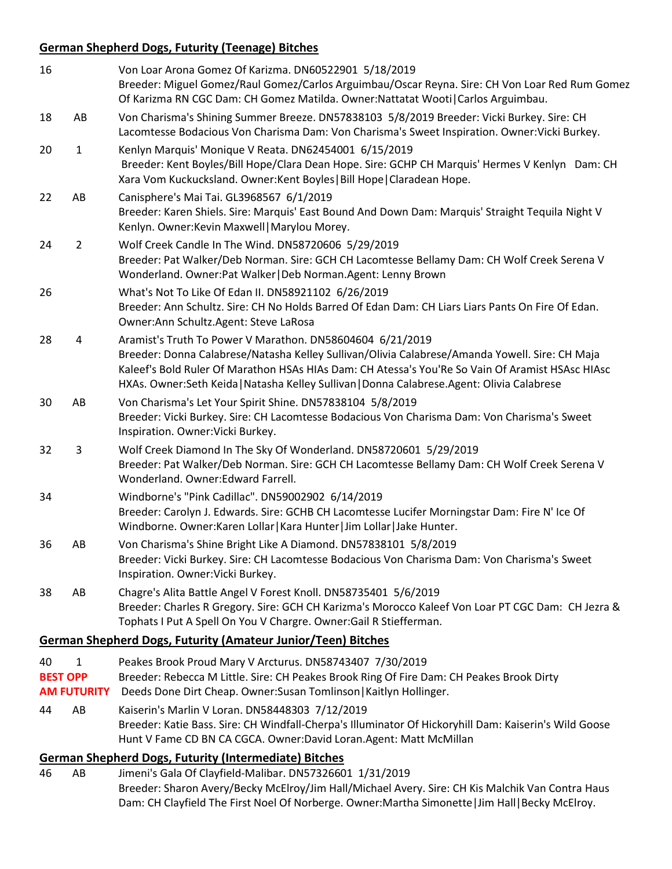## **German Shepherd Dogs, Futurity (Teenage) Bitches**

| 16                    |                          | Von Loar Arona Gomez Of Karizma. DN60522901 5/18/2019<br>Breeder: Miguel Gomez/Raul Gomez/Carlos Arguimbau/Oscar Reyna. Sire: CH Von Loar Red Rum Gomez<br>Of Karizma RN CGC Dam: CH Gomez Matilda. Owner: Nattatat Wooti   Carlos Arguimbau.                                                                                                                 |
|-----------------------|--------------------------|---------------------------------------------------------------------------------------------------------------------------------------------------------------------------------------------------------------------------------------------------------------------------------------------------------------------------------------------------------------|
| 18                    | AB                       | Von Charisma's Shining Summer Breeze. DN57838103 5/8/2019 Breeder: Vicki Burkey. Sire: CH<br>Lacomtesse Bodacious Von Charisma Dam: Von Charisma's Sweet Inspiration. Owner: Vicki Burkey.                                                                                                                                                                    |
| 20                    | $\mathbf{1}$             | Kenlyn Marquis' Monique V Reata. DN62454001 6/15/2019<br>Breeder: Kent Boyles/Bill Hope/Clara Dean Hope. Sire: GCHP CH Marquis' Hermes V Kenlyn Dam: CH<br>Xara Vom Kuckucksland. Owner: Kent Boyles   Bill Hope   Claradean Hope.                                                                                                                            |
| 22                    | AB                       | Canisphere's Mai Tai. GL3968567 6/1/2019<br>Breeder: Karen Shiels. Sire: Marquis' East Bound And Down Dam: Marquis' Straight Tequila Night V<br>Kenlyn. Owner: Kevin Maxwell   Marylou Morey.                                                                                                                                                                 |
| 24                    | $\overline{2}$           | Wolf Creek Candle In The Wind. DN58720606 5/29/2019<br>Breeder: Pat Walker/Deb Norman. Sire: GCH CH Lacomtesse Bellamy Dam: CH Wolf Creek Serena V<br>Wonderland. Owner: Pat Walker   Deb Norman. Agent: Lenny Brown                                                                                                                                          |
| 26                    |                          | What's Not To Like Of Edan II. DN58921102 6/26/2019<br>Breeder: Ann Schultz. Sire: CH No Holds Barred Of Edan Dam: CH Liars Liars Pants On Fire Of Edan.<br>Owner: Ann Schultz. Agent: Steve LaRosa                                                                                                                                                           |
| 28                    | 4                        | Aramist's Truth To Power V Marathon. DN58604604 6/21/2019<br>Breeder: Donna Calabrese/Natasha Kelley Sullivan/Olivia Calabrese/Amanda Yowell. Sire: CH Maja<br>Kaleef's Bold Ruler Of Marathon HSAs HIAs Dam: CH Atessa's You'Re So Vain Of Aramist HSAsc HIAsc<br>HXAs. Owner:Seth Keida   Natasha Kelley Sullivan   Donna Calabrese.Agent: Olivia Calabrese |
| 30                    | AB                       | Von Charisma's Let Your Spirit Shine. DN57838104 5/8/2019<br>Breeder: Vicki Burkey. Sire: CH Lacomtesse Bodacious Von Charisma Dam: Von Charisma's Sweet<br>Inspiration. Owner: Vicki Burkey.                                                                                                                                                                 |
| 32                    | 3                        | Wolf Creek Diamond In The Sky Of Wonderland. DN58720601 5/29/2019<br>Breeder: Pat Walker/Deb Norman. Sire: GCH CH Lacomtesse Bellamy Dam: CH Wolf Creek Serena V<br>Wonderland. Owner: Edward Farrell.                                                                                                                                                        |
| 34                    |                          | Windborne's "Pink Cadillac". DN59002902 6/14/2019<br>Breeder: Carolyn J. Edwards. Sire: GCHB CH Lacomtesse Lucifer Morningstar Dam: Fire N' Ice Of<br>Windborne. Owner: Karen Lollar   Kara Hunter   Jim Lollar   Jake Hunter.                                                                                                                                |
| 36                    | AB                       | Von Charisma's Shine Bright Like A Diamond. DN57838101 5/8/2019<br>Breeder: Vicki Burkey. Sire: CH Lacomtesse Bodacious Von Charisma Dam: Von Charisma's Sweet<br>Inspiration. Owner: Vicki Burkey.                                                                                                                                                           |
| 38                    | AB                       | Chagre's Alita Battle Angel V Forest Knoll. DN58735401 5/6/2019<br>Breeder: Charles R Gregory. Sire: GCH CH Karizma's Morocco Kaleef Von Loar PT CGC Dam: CH Jezra &<br>Tophats I Put A Spell On You V Chargre. Owner: Gail R Stiefferman.                                                                                                                    |
|                       |                          | <b>German Shepherd Dogs, Futurity (Amateur Junior/Teen) Bitches</b>                                                                                                                                                                                                                                                                                           |
| 40<br><b>BEST OPP</b> | 1                        | Peakes Brook Proud Mary V Arcturus. DN58743407 7/30/2019<br>Breeder: Rebecca M Little. Sire: CH Peakes Brook Ring Of Fire Dam: CH Peakes Brook Dirty<br>Deeds Done Dirt Cheap. Owner: Susan Tomlinson   Kaitlyn Hollinger.                                                                                                                                    |
| 44                    | <b>AM FUTURITY</b><br>AB | Kaiserin's Marlin V Loran. DN58448303 7/12/2019                                                                                                                                                                                                                                                                                                               |

Breeder: Katie Bass. Sire: CH Windfall-Cherpa's Illuminator Of Hickoryhill Dam: Kaiserin's Wild Goose Hunt V Fame CD BN CA CGCA. Owner:David Loran.Agent: Matt McMillan

#### **German Shepherd Dogs, Futurity (Intermediate) Bitches**

46 AB Jimeni's Gala Of Clayfield-Malibar. DN57326601 1/31/2019 Breeder: Sharon Avery/Becky McElroy/Jim Hall/Michael Avery. Sire: CH Kis Malchik Van Contra Haus Dam: CH Clayfield The First Noel Of Norberge. Owner:Martha Simonette|Jim Hall|Becky McElroy.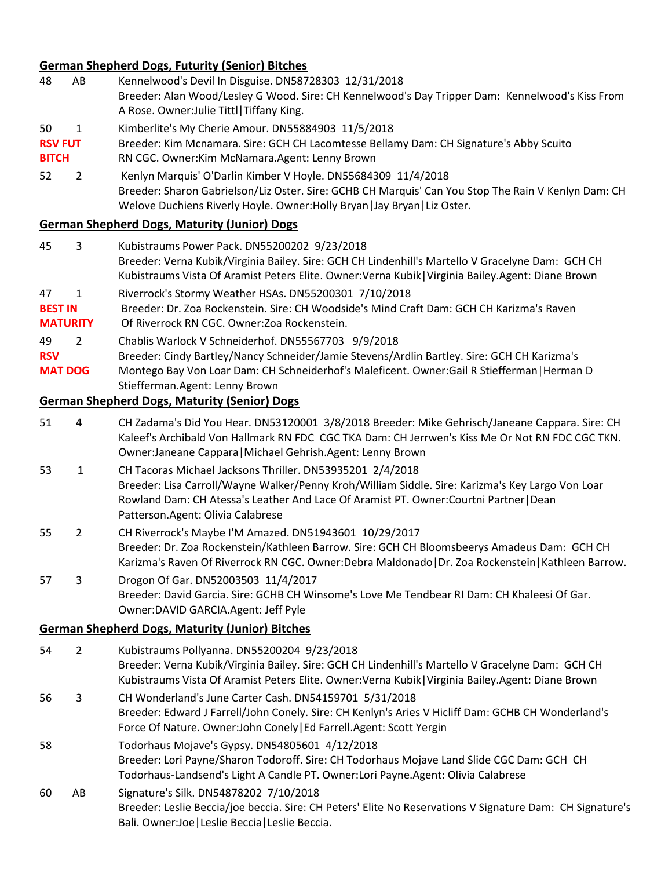## **German Shepherd Dogs, Futurity (Senior) Bitches**

- 48 AB Kennelwood's Devil In Disguise. DN58728303 12/31/2018 Breeder: Alan Wood/Lesley G Wood. Sire: CH Kennelwood's Day Tripper Dam: Kennelwood's Kiss From A Rose. Owner:Julie Tittl|Tiffany King.
- 50 1 Kimberlite's My Cherie Amour. DN55884903 11/5/2018
- RSV FUT Breeder: Kim Mcnamara. Sire: GCH CH Lacomtesse Bellamy Dam: CH Signature's Abby Scuito
- **BITCH** RN CGC. Owner:Kim McNamara.Agent: Lenny Brown
- 52 2 Kenlyn Marquis' O'Darlin Kimber V Hoyle. DN55684309 11/4/2018 Breeder: Sharon Gabrielson/Liz Oster. Sire: GCHB CH Marquis' Can You Stop The Rain V Kenlyn Dam: CH Welove Duchiens Riverly Hoyle. Owner:Holly Bryan|Jay Bryan|Liz Oster.

#### **German Shepherd Dogs, Maturity (Junior) Dogs**

- 45 3 Kubistraums Power Pack. DN55200202 9/23/2018 Breeder: Verna Kubik/Virginia Bailey. Sire: GCH CH Lindenhill's Martello V Gracelyne Dam: GCH CH Kubistraums Vista Of Aramist Peters Elite. Owner:Verna Kubik|Virginia Bailey.Agent: Diane Brown 47 1 Riverrock's Stormy Weather HSAs. DN55200301 7/10/2018
- 
- BEST IN Breeder: Dr. Zoa Rockenstein. Sire: CH Woodside's Mind Craft Dam: GCH CH Karizma's Raven
- **MATURITY** Of Riverrock RN CGC. Owner:Zoa Rockenstein.
- 49 2 Chablis Warlock V Schneiderhof. DN55567703 9/9/2018
- **RSV** Breeder: Cindy Bartley/Nancy Schneider/Jamie Stevens/Ardlin Bartley. Sire: GCH CH Karizma's
- **MAT DOG** Montego Bay Von Loar Dam: CH Schneiderhof's Maleficent. Owner:Gail R Stiefferman|Herman D Stiefferman.Agent: Lenny Brown

#### **German Shepherd Dogs, Maturity (Senior) Dogs**

- 51 4 CH Zadama's Did You Hear. DN53120001 3/8/2018 Breeder: Mike Gehrisch/Janeane Cappara. Sire: CH Kaleef's Archibald Von Hallmark RN FDC CGC TKA Dam: CH Jerrwen's Kiss Me Or Not RN FDC CGC TKN. Owner:Janeane Cappara|Michael Gehrish.Agent: Lenny Brown
- 53 1 CH Tacoras Michael Jacksons Thriller. DN53935201 2/4/2018 Breeder: Lisa Carroll/Wayne Walker/Penny Kroh/William Siddle. Sire: Karizma's Key Largo Von Loar Rowland Dam: CH Atessa's Leather And Lace Of Aramist PT. Owner:Courtni Partner|Dean Patterson.Agent: Olivia Calabrese
- 55 2 CH Riverrock's Maybe I'M Amazed. DN51943601 10/29/2017 Breeder: Dr. Zoa Rockenstein/Kathleen Barrow. Sire: GCH CH Bloomsbeerys Amadeus Dam: GCH CH Karizma's Raven Of Riverrock RN CGC. Owner:Debra Maldonado|Dr. Zoa Rockenstein|Kathleen Barrow.
- 57 3 Drogon Of Gar. DN52003503 11/4/2017 Breeder: David Garcia. Sire: GCHB CH Winsome's Love Me Tendbear RI Dam: CH Khaleesi Of Gar. Owner:DAVID GARCIA.Agent: Jeff Pyle

#### **German Shepherd Dogs, Maturity (Junior) Bitches**

- 54 2 Kubistraums Pollyanna. DN55200204 9/23/2018 Breeder: Verna Kubik/Virginia Bailey. Sire: GCH CH Lindenhill's Martello V Gracelyne Dam: GCH CH Kubistraums Vista Of Aramist Peters Elite. Owner:Verna Kubik|Virginia Bailey.Agent: Diane Brown
- 56 3 CH Wonderland's June Carter Cash. DN54159701 5/31/2018 Breeder: Edward J Farrell/John Conely. Sire: CH Kenlyn's Aries V Hicliff Dam: GCHB CH Wonderland's Force Of Nature. Owner:John Conely|Ed Farrell.Agent: Scott Yergin
- 58 Todorhaus Mojave's Gypsy. DN54805601 4/12/2018 Breeder: Lori Payne/Sharon Todoroff. Sire: CH Todorhaus Mojave Land Slide CGC Dam: GCH CH Todorhaus-Landsend's Light A Candle PT. Owner:Lori Payne.Agent: Olivia Calabrese
- 60 AB Signature's Silk. DN54878202 7/10/2018 Breeder: Leslie Beccia/joe beccia. Sire: CH Peters' Elite No Reservations V Signature Dam: CH Signature's Bali. Owner:Joe|Leslie Beccia|Leslie Beccia.